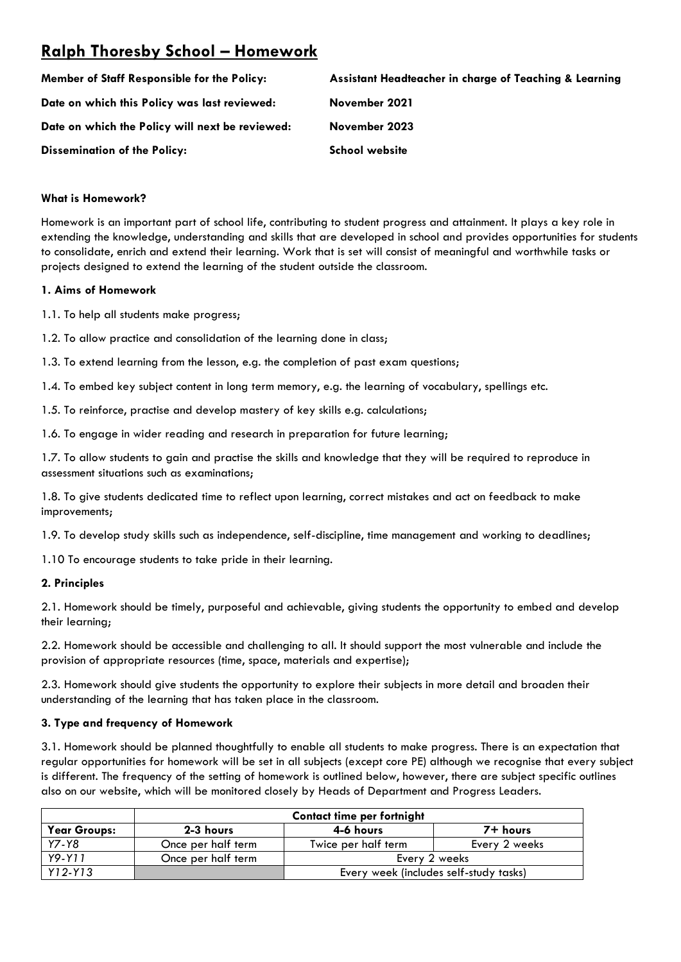# **Ralph Thoresby School – Homework**

| Member of Staff Responsible for the Policy:     | Assistant Headteacher in charge of Teaching & Learning |
|-------------------------------------------------|--------------------------------------------------------|
| Date on which this Policy was last reviewed:    | November 2021                                          |
| Date on which the Policy will next be reviewed: | November 2023                                          |
| <b>Dissemination of the Policy:</b>             | <b>School website</b>                                  |

# **What is Homework?**

Homework is an important part of school life, contributing to student progress and attainment. It plays a key role in extending the knowledge, understanding and skills that are developed in school and provides opportunities for students to consolidate, enrich and extend their learning. Work that is set will consist of meaningful and worthwhile tasks or projects designed to extend the learning of the student outside the classroom.

## **1. Aims of Homework**

1.1. To help all students make progress;

- 1.2. To allow practice and consolidation of the learning done in class;
- 1.3. To extend learning from the lesson, e.g. the completion of past exam questions;
- 1.4. To embed key subject content in long term memory, e.g. the learning of vocabulary, spellings etc.
- 1.5. To reinforce, practise and develop mastery of key skills e.g. calculations;

1.6. To engage in wider reading and research in preparation for future learning;

1.7. To allow students to gain and practise the skills and knowledge that they will be required to reproduce in assessment situations such as examinations;

1.8. To give students dedicated time to reflect upon learning, correct mistakes and act on feedback to make improvements;

1.9. To develop study skills such as independence, self-discipline, time management and working to deadlines;

1.10 To encourage students to take pride in their learning.

## **2. Principles**

2.1. Homework should be timely, purposeful and achievable, giving students the opportunity to embed and develop their learning;

2.2. Homework should be accessible and challenging to all. It should support the most vulnerable and include the provision of appropriate resources (time, space, materials and expertise);

2.3. Homework should give students the opportunity to explore their subjects in more detail and broaden their understanding of the learning that has taken place in the classroom.

## **3. Type and frequency of Homework**

3.1. Homework should be planned thoughtfully to enable all students to make progress. There is an expectation that regular opportunities for homework will be set in all subjects (except core PE) although we recognise that every subject is different. The frequency of the setting of homework is outlined below, however, there are subject specific outlines also on our website, which will be monitored closely by Heads of Department and Progress Leaders.

|                     | <b>Contact time per fortnight</b> |                     |                                        |
|---------------------|-----------------------------------|---------------------|----------------------------------------|
| <b>Year Groups:</b> | 2-3 hours                         | 4-6 hours           | 7+ hours                               |
| Y7-Y8               | Once per half term                | Twice per half term | Every 2 weeks                          |
| Y9-Y11              | Once per half term                | Every 2 weeks       |                                        |
| $Y12-Y13$           |                                   |                     | Every week (includes self-study tasks) |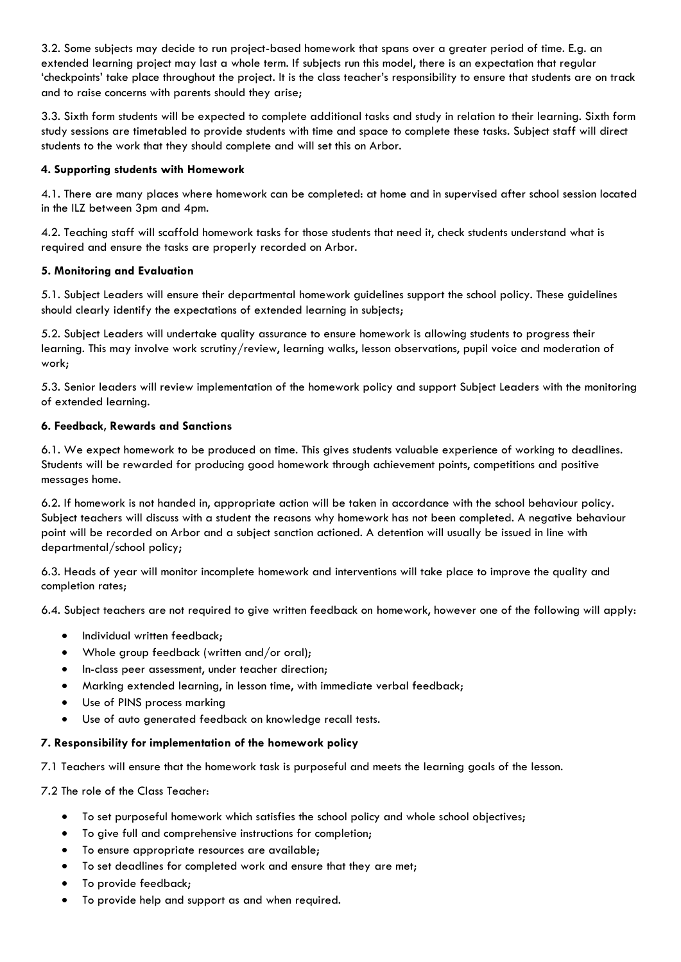3.2. Some subjects may decide to run project-based homework that spans over a greater period of time. E.g. an extended learning project may last a whole term. If subjects run this model, there is an expectation that regular 'checkpoints' take place throughout the project. It is the class teacher's responsibility to ensure that students are on track and to raise concerns with parents should they arise;

3.3. Sixth form students will be expected to complete additional tasks and study in relation to their learning. Sixth form study sessions are timetabled to provide students with time and space to complete these tasks. Subject staff will direct students to the work that they should complete and will set this on Arbor.

# **4. Supporting students with Homework**

4.1. There are many places where homework can be completed: at home and in supervised after school session located in the ILZ between 3pm and 4pm.

4.2. Teaching staff will scaffold homework tasks for those students that need it, check students understand what is required and ensure the tasks are properly recorded on Arbor.

# **5. Monitoring and Evaluation**

5.1. Subject Leaders will ensure their departmental homework guidelines support the school policy. These guidelines should clearly identify the expectations of extended learning in subjects;

5.2. Subject Leaders will undertake quality assurance to ensure homework is allowing students to progress their learning. This may involve work scrutiny/review, learning walks, lesson observations, pupil voice and moderation of work;

5.3. Senior leaders will review implementation of the homework policy and support Subject Leaders with the monitoring of extended learning.

## **6. Feedback, Rewards and Sanctions**

6.1. We expect homework to be produced on time. This gives students valuable experience of working to deadlines. Students will be rewarded for producing good homework through achievement points, competitions and positive messages home.

6.2. If homework is not handed in, appropriate action will be taken in accordance with the school behaviour policy. Subject teachers will discuss with a student the reasons why homework has not been completed. A negative behaviour point will be recorded on Arbor and a subject sanction actioned. A detention will usually be issued in line with departmental/school policy;

6.3. Heads of year will monitor incomplete homework and interventions will take place to improve the quality and completion rates;

6.4. Subject teachers are not required to give written feedback on homework, however one of the following will apply:

- Individual written feedback;
- Whole group feedback (written and/or oral);
- In-class peer assessment, under teacher direction;
- Marking extended learning, in lesson time, with immediate verbal feedback;
- Use of PINS process marking
- Use of auto generated feedback on knowledge recall tests.

# **7. Responsibility for implementation of the homework policy**

7.1 Teachers will ensure that the homework task is purposeful and meets the learning goals of the lesson.

7.2 The role of the Class Teacher:

- To set purposeful homework which satisfies the school policy and whole school objectives;
- To give full and comprehensive instructions for completion;
- To ensure appropriate resources are available;
- To set deadlines for completed work and ensure that they are met;
- To provide feedback;
- To provide help and support as and when required.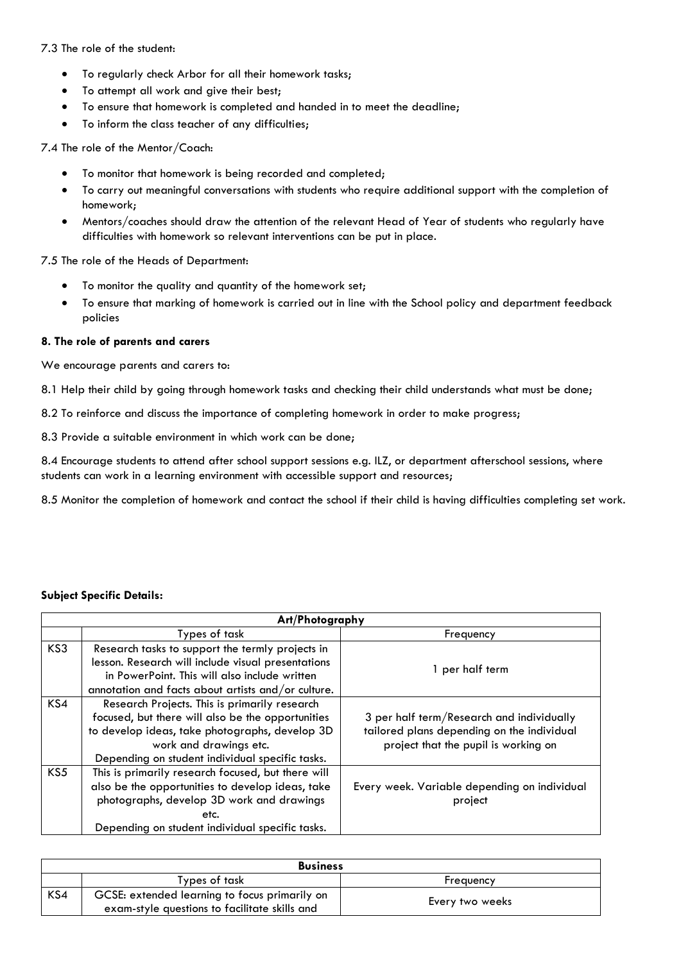7.3 The role of the student:

- To regularly check Arbor for all their homework tasks;
- To attempt all work and give their best;
- To ensure that homework is completed and handed in to meet the deadline;
- To inform the class teacher of any difficulties;

7.4 The role of the Mentor/Coach:

- To monitor that homework is being recorded and completed;
- To carry out meaningful conversations with students who require additional support with the completion of homework;
- Mentors/coaches should draw the attention of the relevant Head of Year of students who regularly have difficulties with homework so relevant interventions can be put in place.

7.5 The role of the Heads of Department:

- To monitor the quality and quantity of the homework set;
- To ensure that marking of homework is carried out in line with the School policy and department feedback policies

#### **8. The role of parents and carers**

We encourage parents and carers to:

8.1 Help their child by going through homework tasks and checking their child understands what must be done;

8.2 To reinforce and discuss the importance of completing homework in order to make progress;

8.3 Provide a suitable environment in which work can be done;

8.4 Encourage students to attend after school support sessions e.g. ILZ, or department afterschool sessions, where students can work in a learning environment with accessible support and resources;

8.5 Monitor the completion of homework and contact the school if their child is having difficulties completing set work.

#### **Subject Specific Details:**

|     | Art/Photography                                    |                                              |  |
|-----|----------------------------------------------------|----------------------------------------------|--|
|     | Types of task                                      | Frequency                                    |  |
| KS3 | Research tasks to support the termly projects in   |                                              |  |
|     | lesson. Research will include visual presentations | 1 per half term                              |  |
|     | in PowerPoint. This will also include written      |                                              |  |
|     | annotation and facts about artists and/or culture. |                                              |  |
| KS4 | Research Projects. This is primarily research      |                                              |  |
|     | focused, but there will also be the opportunities  | 3 per half term/Research and individually    |  |
|     | to develop ideas, take photographs, develop 3D     | tailored plans depending on the individual   |  |
|     | work and drawings etc.                             | project that the pupil is working on         |  |
|     | Depending on student individual specific tasks.    |                                              |  |
| KS5 | This is primarily research focused, but there will |                                              |  |
|     | also be the opportunities to develop ideas, take   | Every week. Variable depending on individual |  |
|     | photographs, develop 3D work and drawings          | project                                      |  |
|     | etc.                                               |                                              |  |
|     | Depending on student individual specific tasks.    |                                              |  |

| <b>Business</b> |                                                                                                |                  |
|-----------------|------------------------------------------------------------------------------------------------|------------------|
|                 | Types of task                                                                                  | <b>Frequency</b> |
| KS4             | GCSE: extended learning to focus primarily on<br>exam-style questions to facilitate skills and | Every two weeks  |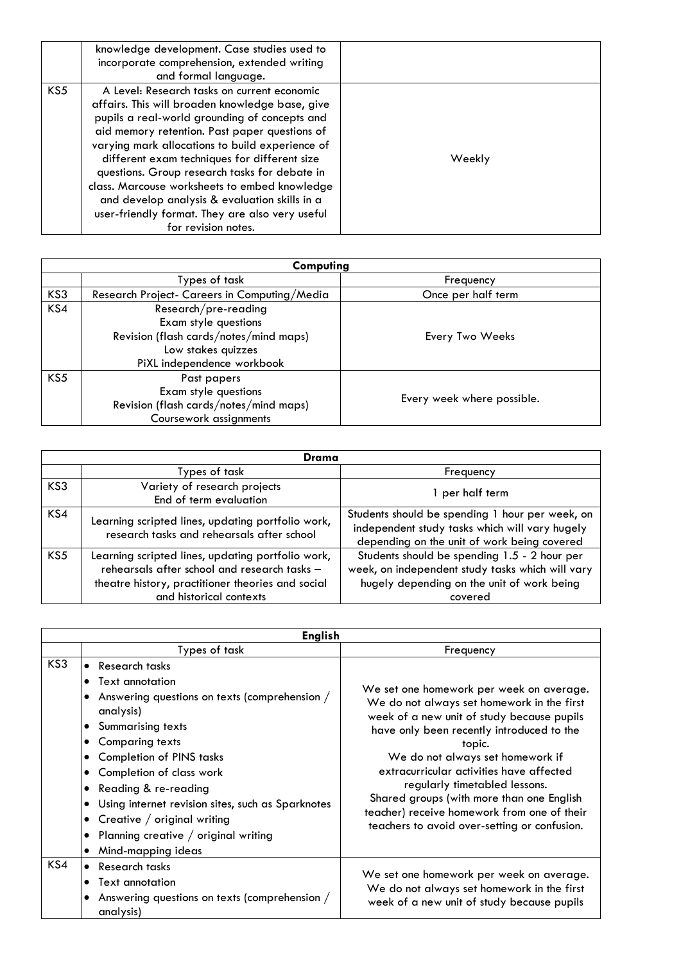|     | knowledge development. Case studies used to<br>incorporate comprehension, extended writing<br>and formal language.                                                                                                                                                                                                                                                                                                                                                                                                               |        |
|-----|----------------------------------------------------------------------------------------------------------------------------------------------------------------------------------------------------------------------------------------------------------------------------------------------------------------------------------------------------------------------------------------------------------------------------------------------------------------------------------------------------------------------------------|--------|
| KS5 | A Level: Research tasks on current economic<br>affairs. This will broaden knowledge base, give<br>pupils a real-world grounding of concepts and<br>aid memory retention. Past paper questions of<br>varying mark allocations to build experience of<br>different exam techniques for different size<br>questions. Group research tasks for debate in<br>class. Marcouse worksheets to embed knowledge<br>and develop analysis & evaluation skills in a<br>user-friendly format. They are also very useful<br>for revision notes. | Weekly |

|     | Computing                                    |                            |  |
|-----|----------------------------------------------|----------------------------|--|
|     | Types of task                                | Frequency                  |  |
| KS3 | Research Project- Careers in Computing/Media | Once per half term         |  |
| KS4 | Research/pre-reading                         |                            |  |
|     | Exam style questions                         |                            |  |
|     | Revision (flash cards/notes/mind maps)       | Every Two Weeks            |  |
|     | Low stakes quizzes                           |                            |  |
|     | PiXL independence workbook                   |                            |  |
| KS5 | Past papers                                  |                            |  |
|     | Exam style questions                         |                            |  |
|     | Revision (flash cards/notes/mind maps)       | Every week where possible. |  |
|     | Coursework assignments                       |                            |  |

|     | Drama                                                                                                                                                                             |                                                                                                                                                           |  |
|-----|-----------------------------------------------------------------------------------------------------------------------------------------------------------------------------------|-----------------------------------------------------------------------------------------------------------------------------------------------------------|--|
|     | Types of task                                                                                                                                                                     | Frequency                                                                                                                                                 |  |
| KS3 | Variety of research projects<br>End of term evaluation                                                                                                                            | 1 per half term                                                                                                                                           |  |
| KS4 | Learning scripted lines, updating portfolio work,<br>research tasks and rehearsals after school                                                                                   | Students should be spending 1 hour per week, on<br>independent study tasks which will vary hugely<br>depending on the unit of work being covered          |  |
| KS5 | Learning scripted lines, updating portfolio work,<br>rehearsals after school and research tasks -<br>theatre history, practitioner theories and social<br>and historical contexts | Students should be spending 1.5 - 2 hour per<br>week, on independent study tasks which will vary<br>hugely depending on the unit of work being<br>covered |  |

|     | <b>English</b>                                                                                                                                                                                                                                                                                                                                                                                                                                                                       |                                                                                                                                                                                                                                                                                                                                                                                                                                                          |
|-----|--------------------------------------------------------------------------------------------------------------------------------------------------------------------------------------------------------------------------------------------------------------------------------------------------------------------------------------------------------------------------------------------------------------------------------------------------------------------------------------|----------------------------------------------------------------------------------------------------------------------------------------------------------------------------------------------------------------------------------------------------------------------------------------------------------------------------------------------------------------------------------------------------------------------------------------------------------|
|     | Types of task                                                                                                                                                                                                                                                                                                                                                                                                                                                                        | Frequency                                                                                                                                                                                                                                                                                                                                                                                                                                                |
| KS3 | • Research tasks<br>Text annotation<br>$\bullet$<br>Answering questions on texts (comprehension /<br>analysis)<br><b>Summarising texts</b><br>$\bullet$<br><b>Comparing texts</b><br>٠<br><b>Completion of PINS tasks</b><br>٠<br>Completion of class work<br>$\bullet$<br>Reading & re-reading<br>٠<br>Using internet revision sites, such as Sparknotes<br>Creative $/$ original writing<br>$\bullet$<br>Planning creative $/$ original writing<br>Mind-mapping ideas<br>$\bullet$ | We set one homework per week on average.<br>We do not always set homework in the first<br>week of a new unit of study because pupils<br>have only been recently introduced to the<br>topic.<br>We do not always set homework if<br>extracurricular activities have affected<br>regularly timetabled lessons.<br>Shared groups (with more than one English<br>teacher) receive homework from one of their<br>teachers to avoid over-setting or confusion. |
| KS4 | Research tasks<br>$\bullet$<br>Text annotation<br>Answering questions on texts (comprehension /<br>$\bullet$<br>analysis)                                                                                                                                                                                                                                                                                                                                                            | We set one homework per week on average.<br>We do not always set homework in the first<br>week of a new unit of study because pupils                                                                                                                                                                                                                                                                                                                     |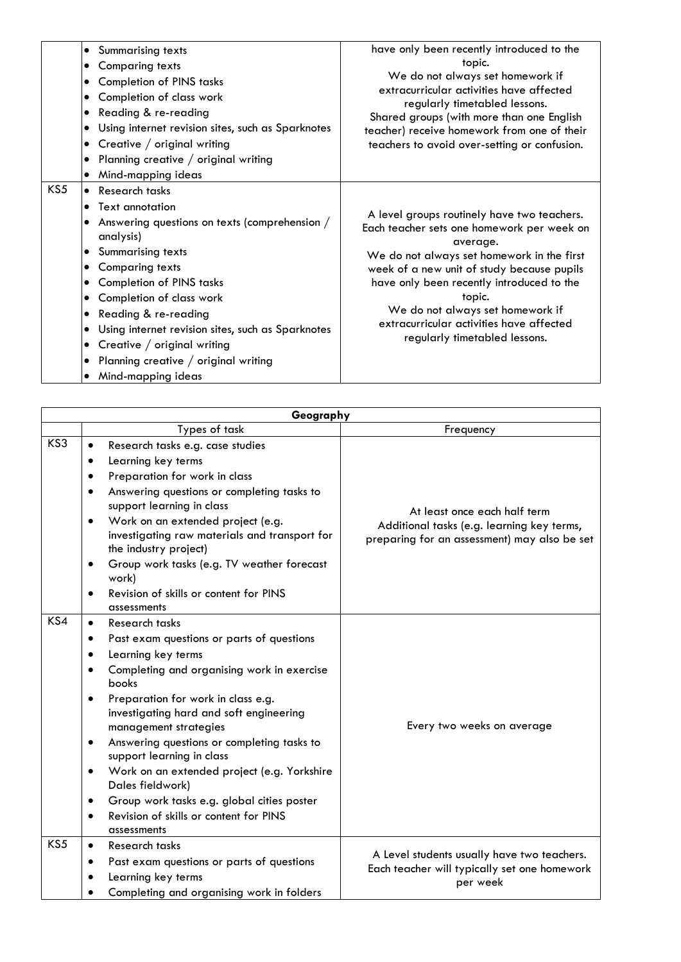| <b>Summarising texts</b><br>٠<br><b>Comparing texts</b><br>$\bullet$<br><b>Completion of PINS tasks</b><br>٠<br>Completion of class work<br>٠<br>Reading & re-reading<br>٠<br>Using internet revision sites, such as Sparknotes<br>$\bullet$<br>Creative / original writing<br>$\bullet$<br>Planning creative $/$ original writing<br>$\bullet$<br>Mind-mapping ideas<br>٠                                                                                                                        | have only been recently introduced to the<br>topic.<br>We do not always set homework if<br>extracurricular activities have affected<br>regularly timetabled lessons.<br>Shared groups (with more than one English<br>teacher) receive homework from one of their<br>teachers to avoid over-setting or confusion.                                                          |
|---------------------------------------------------------------------------------------------------------------------------------------------------------------------------------------------------------------------------------------------------------------------------------------------------------------------------------------------------------------------------------------------------------------------------------------------------------------------------------------------------|---------------------------------------------------------------------------------------------------------------------------------------------------------------------------------------------------------------------------------------------------------------------------------------------------------------------------------------------------------------------------|
| KS5<br>Research tasks<br>$\bullet$<br><b>Text annotation</b><br>٠<br>Answering questions on texts (comprehension /<br>$\bullet$<br>analysis)<br>Summarising texts<br><b>Comparing texts</b><br>٠<br><b>Completion of PINS tasks</b><br>٠<br>Completion of class work<br>٠<br>Reading & re-reading<br>$\bullet$<br>Using internet revision sites, such as Sparknotes<br>$\bullet$<br>Creative / original writing<br>$\bullet$<br>Planning creative $/$ original writing<br>٠<br>Mind-mapping ideas | A level groups routinely have two teachers.<br>Each teacher sets one homework per week on<br>average.<br>We do not always set homework in the first<br>week of a new unit of study because pupils<br>have only been recently introduced to the<br>topic.<br>We do not always set homework if<br>extracurricular activities have affected<br>regularly timetabled lessons. |

|     | Geography                                                                                                                                                                                                                                                                                                                                                                                                                                                                                                                                                                                               |                                                                                                                            |
|-----|---------------------------------------------------------------------------------------------------------------------------------------------------------------------------------------------------------------------------------------------------------------------------------------------------------------------------------------------------------------------------------------------------------------------------------------------------------------------------------------------------------------------------------------------------------------------------------------------------------|----------------------------------------------------------------------------------------------------------------------------|
|     | Types of task                                                                                                                                                                                                                                                                                                                                                                                                                                                                                                                                                                                           | Frequency                                                                                                                  |
| KS3 | Research tasks e.g. case studies<br>$\bullet$<br>Learning key terms<br>$\bullet$<br>Preparation for work in class<br>Answering questions or completing tasks to<br>support learning in class<br>Work on an extended project (e.g.<br>$\bullet$<br>investigating raw materials and transport for<br>the industry project)<br>Group work tasks (e.g. TV weather forecast<br>$\bullet$<br>work)<br>Revision of skills or content for PINS<br>$\bullet$<br>assessments                                                                                                                                      | At least once each half term<br>Additional tasks (e.g. learning key terms,<br>preparing for an assessment) may also be set |
| KS4 | Research tasks<br>$\bullet$<br>Past exam questions or parts of questions<br>$\bullet$<br>Learning key terms<br>$\bullet$<br>Completing and organising work in exercise<br>books<br>Preparation for work in class e.g.<br>$\bullet$<br>investigating hard and soft engineering<br>management strategies<br>Answering questions or completing tasks to<br>$\bullet$<br>support learning in class<br>Work on an extended project (e.g. Yorkshire<br>٠<br>Dales fieldwork)<br>Group work tasks e.g. global cities poster<br>$\bullet$<br>Revision of skills or content for PINS<br>$\bullet$<br>assessments | Every two weeks on average                                                                                                 |
| KS5 | Research tasks<br>$\bullet$<br>Past exam questions or parts of questions<br>$\bullet$<br>Learning key terms<br>Completing and organising work in folders                                                                                                                                                                                                                                                                                                                                                                                                                                                | A Level students usually have two teachers.<br>Each teacher will typically set one homework<br>per week                    |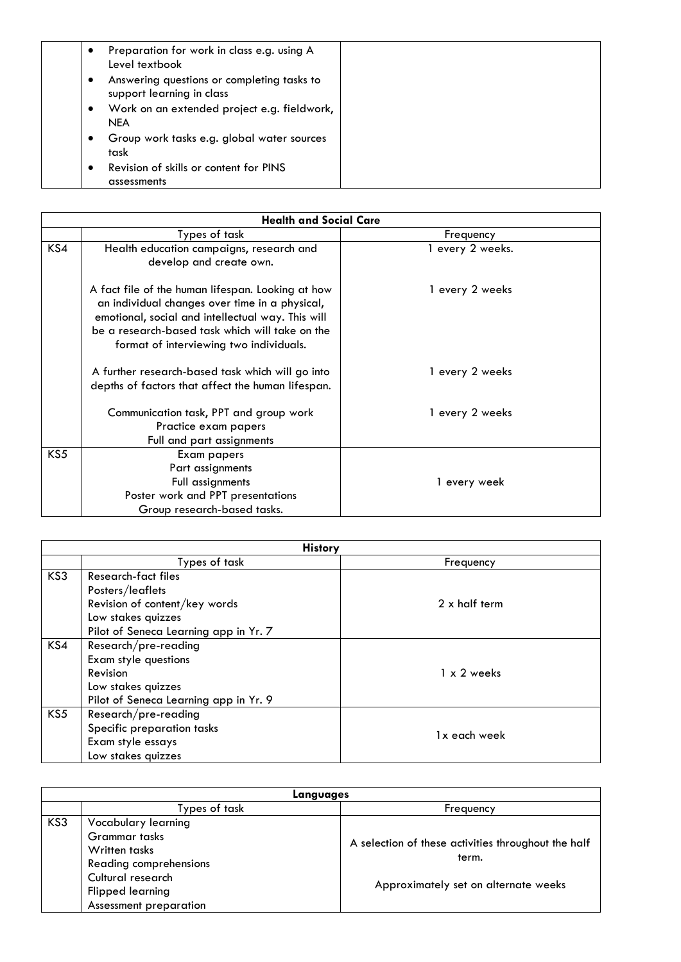| Preparation for work in class e.g. using A<br>٠<br>Level textbook            |  |
|------------------------------------------------------------------------------|--|
| Answering questions or completing tasks to<br>٠<br>support learning in class |  |
| Work on an extended project e.g. fieldwork,<br>٠<br><b>NEA</b>               |  |
| Group work tasks e.g. global water sources<br>٠<br>task                      |  |
| Revision of skills or content for PINS<br>$\bullet$<br>assessments           |  |

| <b>Health and Social Care</b> |                                                                                                                                                                                                                                                        |                  |
|-------------------------------|--------------------------------------------------------------------------------------------------------------------------------------------------------------------------------------------------------------------------------------------------------|------------------|
|                               | Types of task                                                                                                                                                                                                                                          | Frequency        |
| KS4                           | Health education campaigns, research and<br>develop and create own.                                                                                                                                                                                    | 1 every 2 weeks. |
|                               | A fact file of the human lifespan. Looking at how<br>an individual changes over time in a physical,<br>emotional, social and intellectual way. This will<br>be a research-based task which will take on the<br>format of interviewing two individuals. | 1 every 2 weeks  |
|                               | A further research-based task which will go into<br>depths of factors that affect the human lifespan.                                                                                                                                                  | 1 every 2 weeks  |
|                               | Communication task, PPT and group work<br>Practice exam papers<br>Full and part assignments                                                                                                                                                            | 1 every 2 weeks  |
| KS5                           | Exam papers<br>Part assignments                                                                                                                                                                                                                        |                  |
|                               | Full assignments<br>Poster work and PPT presentations<br>Group research-based tasks.                                                                                                                                                                   | 1 every week     |

| <b>History</b> |                                       |               |
|----------------|---------------------------------------|---------------|
|                | Types of task                         | Frequency     |
| KS3            | <b>Research-fact files</b>            |               |
|                | Posters/leaflets                      |               |
|                | Revision of content/key words         | 2 x half term |
|                | Low stakes quizzes                    |               |
|                | Pilot of Seneca Learning app in Yr. 7 |               |
| KS4            | Research/pre-reading                  |               |
|                | Exam style questions                  |               |
|                | Revision                              | 1 x 2 weeks   |
|                | Low stakes quizzes                    |               |
|                | Pilot of Seneca Learning app in Yr. 9 |               |
| KS5            | Research/pre-reading                  |               |
|                | Specific preparation tasks            | 1x each week  |
|                | Exam style essays                     |               |
|                | Low stakes quizzes                    |               |

|     | Languages                                                              |                                                              |  |
|-----|------------------------------------------------------------------------|--------------------------------------------------------------|--|
|     | Types of task                                                          | Frequency                                                    |  |
| KS3 | Vocabulary learning                                                    |                                                              |  |
|     | <b>Grammar</b> tasks<br>Written tasks<br>Reading comprehensions        | A selection of these activities throughout the half<br>term. |  |
|     | Cultural research<br><b>Flipped learning</b><br>Assessment preparation | Approximately set on alternate weeks                         |  |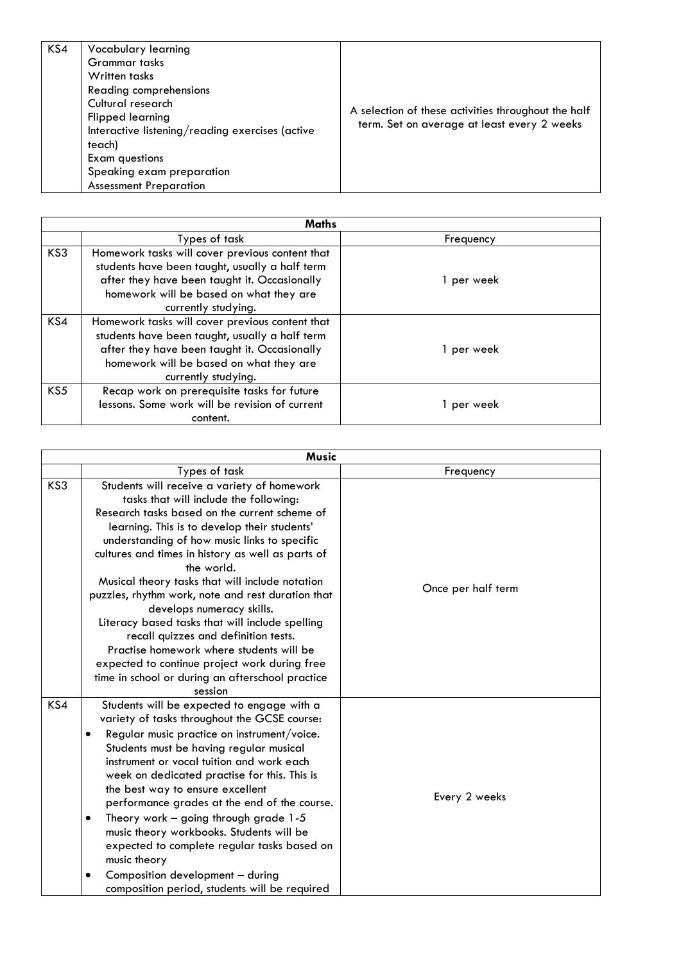| KS4 | Vocabulary learning<br>Grammar tasks<br>Written tasks<br>Reading comprehensions<br>Cultural research<br><b>Flipped learning</b><br>Interactive listening/reading exercises (active<br>teach)<br>Exam questions<br>Speaking exam preparation<br><b>Assessment Preparation</b> | A selection of these activities throughout the half<br>term. Set on average at least every 2 weeks |
|-----|------------------------------------------------------------------------------------------------------------------------------------------------------------------------------------------------------------------------------------------------------------------------------|----------------------------------------------------------------------------------------------------|
|-----|------------------------------------------------------------------------------------------------------------------------------------------------------------------------------------------------------------------------------------------------------------------------------|----------------------------------------------------------------------------------------------------|

|     | Maths                                                                                                                                                                                                               |            |  |
|-----|---------------------------------------------------------------------------------------------------------------------------------------------------------------------------------------------------------------------|------------|--|
|     | Types of task                                                                                                                                                                                                       | Frequency  |  |
| KS3 | Homework tasks will cover previous content that<br>students have been taught, usually a half term<br>after they have been taught it. Occasionally<br>homework will be based on what they are<br>currently studying. | 1 per week |  |
| KS4 | Homework tasks will cover previous content that<br>students have been taught, usually a half term<br>after they have been taught it. Occasionally<br>homework will be based on what they are<br>currently studying. | 1 per week |  |
| KS5 | Recap work on prerequisite tasks for future<br>lessons. Some work will be revision of current<br>content.                                                                                                           | 1 per week |  |

|     | Music                                                                                                                                                                                                                                                                                                                                                                                                                                                                                                                                                                                                                                                                                                 |                    |
|-----|-------------------------------------------------------------------------------------------------------------------------------------------------------------------------------------------------------------------------------------------------------------------------------------------------------------------------------------------------------------------------------------------------------------------------------------------------------------------------------------------------------------------------------------------------------------------------------------------------------------------------------------------------------------------------------------------------------|--------------------|
|     | Types of task                                                                                                                                                                                                                                                                                                                                                                                                                                                                                                                                                                                                                                                                                         | Frequency          |
| KS3 | Students will receive a variety of homework<br>tasks that will include the following:<br>Research tasks based on the current scheme of<br>learning. This is to develop their students'<br>understanding of how music links to specific<br>cultures and times in history as well as parts of<br>the world.<br>Musical theory tasks that will include notation<br>puzzles, rhythm work, note and rest duration that<br>develops numeracy skills.<br>Literacy based tasks that will include spelling<br>recall quizzes and definition tests.<br>Practise homework where students will be<br>expected to continue project work during free<br>time in school or during an afterschool practice<br>session | Once per half term |
| KS4 | Students will be expected to engage with a<br>variety of tasks throughout the GCSE course:<br>Regular music practice on instrument/voice.<br>Students must be having regular musical<br>instrument or vocal tuition and work each<br>week on dedicated practise for this. This is<br>the best way to ensure excellent<br>performance grades at the end of the course.<br>Theory work - going through grade 1-5<br>٠<br>music theory workbooks. Students will be<br>expected to complete regular tasks based on<br>music theory<br>Composition development - during<br>٠<br>composition period, students will be required                                                                              | Every 2 weeks      |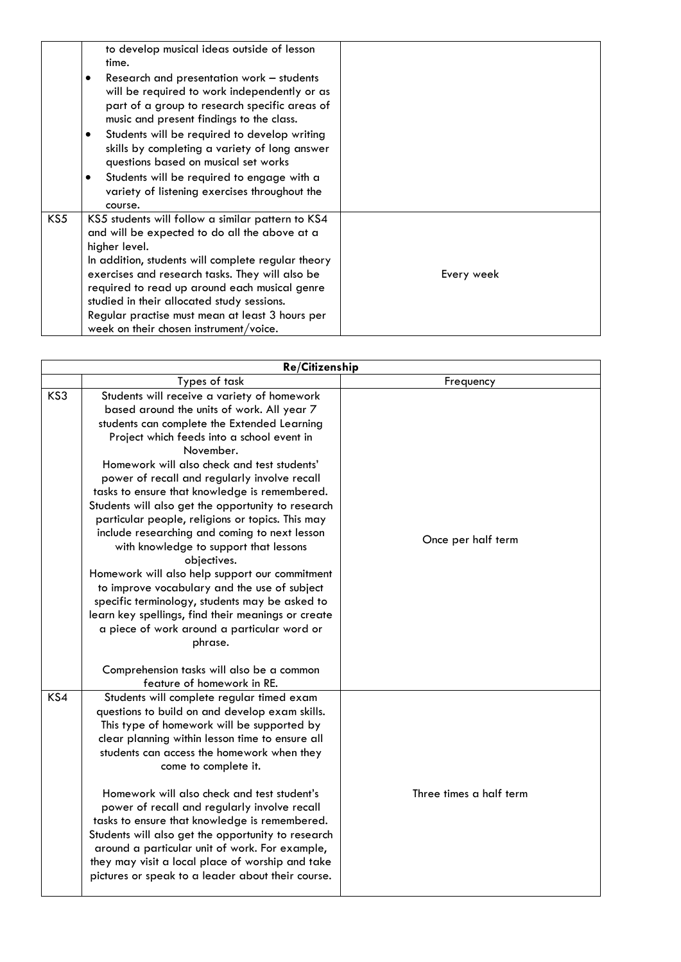|     | to develop musical ideas outside of lesson<br>time.<br>Research and presentation work - students<br>will be required to work independently or as<br>part of a group to research specific areas of<br>music and present findings to the class.<br>Students will be required to develop writing<br>٠<br>skills by completing a variety of long answer<br>questions based on musical set works<br>Students will be required to engage with a<br>٠<br>variety of listening exercises throughout the<br>course. |            |
|-----|------------------------------------------------------------------------------------------------------------------------------------------------------------------------------------------------------------------------------------------------------------------------------------------------------------------------------------------------------------------------------------------------------------------------------------------------------------------------------------------------------------|------------|
| KS5 | KS5 students will follow a similar pattern to KS4<br>and will be expected to do all the above at a<br>higher level.<br>In addition, students will complete regular theory<br>exercises and research tasks. They will also be<br>required to read up around each musical genre<br>studied in their allocated study sessions.<br>Regular practise must mean at least 3 hours per<br>week on their chosen instrument/voice.                                                                                   | Every week |

|     | <b>Re/Citizenship</b>                                                                                                                                                                                                                                                                                                                                                                                                                                                                                                                                                                                                                                                                                                                                                                                                                                                                                                  |                         |
|-----|------------------------------------------------------------------------------------------------------------------------------------------------------------------------------------------------------------------------------------------------------------------------------------------------------------------------------------------------------------------------------------------------------------------------------------------------------------------------------------------------------------------------------------------------------------------------------------------------------------------------------------------------------------------------------------------------------------------------------------------------------------------------------------------------------------------------------------------------------------------------------------------------------------------------|-------------------------|
|     | Types of task                                                                                                                                                                                                                                                                                                                                                                                                                                                                                                                                                                                                                                                                                                                                                                                                                                                                                                          | Frequency               |
| KS3 | Students will receive a variety of homework<br>based around the units of work. All year 7<br>students can complete the Extended Learning<br>Project which feeds into a school event in<br>November.<br>Homework will also check and test students'<br>power of recall and regularly involve recall<br>tasks to ensure that knowledge is remembered.<br>Students will also get the opportunity to research<br>particular people, religions or topics. This may<br>include researching and coming to next lesson<br>with knowledge to support that lessons<br>objectives.<br>Homework will also help support our commitment<br>to improve vocabulary and the use of subject<br>specific terminology, students may be asked to<br>learn key spellings, find their meanings or create<br>a piece of work around a particular word or<br>phrase.<br>Comprehension tasks will also be a common<br>feature of homework in RE. | Once per half term      |
| KS4 | Students will complete regular timed exam<br>questions to build on and develop exam skills.<br>This type of homework will be supported by<br>clear planning within lesson time to ensure all<br>students can access the homework when they<br>come to complete it.<br>Homework will also check and test student's<br>power of recall and regularly involve recall<br>tasks to ensure that knowledge is remembered.<br>Students will also get the opportunity to research<br>around a particular unit of work. For example,<br>they may visit a local place of worship and take<br>pictures or speak to a leader about their course.                                                                                                                                                                                                                                                                                    | Three times a half term |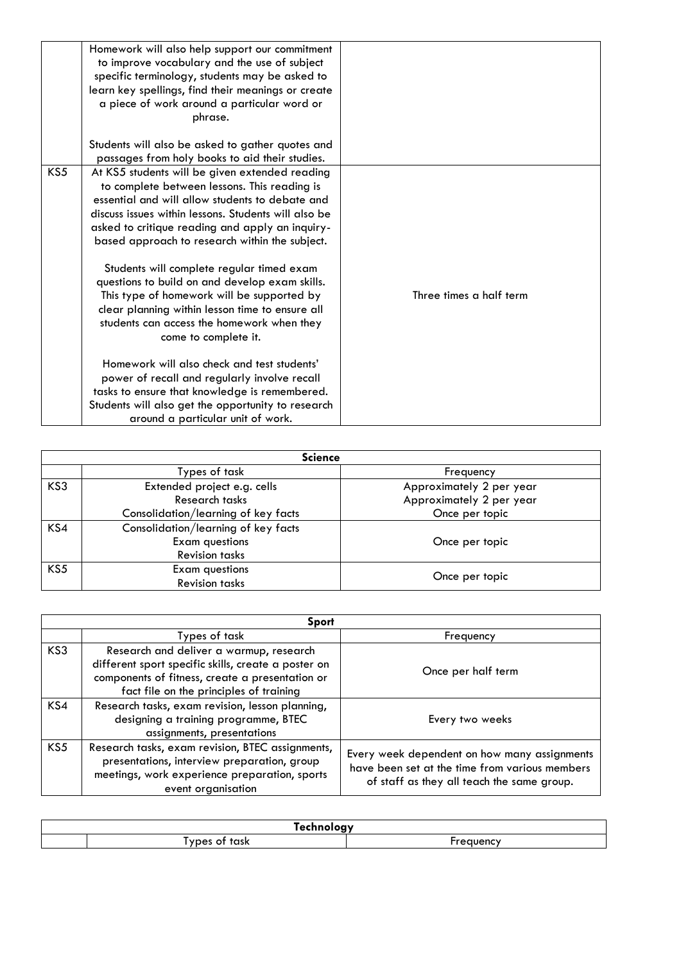|     | Homework will also help support our commitment<br>to improve vocabulary and the use of subject<br>specific terminology, students may be asked to<br>learn key spellings, find their meanings or create<br>a piece of work around a particular word or<br>phrase.<br>Students will also be asked to gather quotes and                                                                                                                                                                                                                                                                 |                         |
|-----|--------------------------------------------------------------------------------------------------------------------------------------------------------------------------------------------------------------------------------------------------------------------------------------------------------------------------------------------------------------------------------------------------------------------------------------------------------------------------------------------------------------------------------------------------------------------------------------|-------------------------|
|     | passages from holy books to aid their studies.                                                                                                                                                                                                                                                                                                                                                                                                                                                                                                                                       |                         |
| KS5 | At KS5 students will be given extended reading<br>to complete between lessons. This reading is<br>essential and will allow students to debate and<br>discuss issues within lessons. Students will also be<br>asked to critique reading and apply an inquiry-<br>based approach to research within the subject.<br>Students will complete regular timed exam<br>questions to build on and develop exam skills.<br>This type of homework will be supported by<br>clear planning within lesson time to ensure all<br>students can access the homework when they<br>come to complete it. | Three times a half term |
|     | Homework will also check and test students'<br>power of recall and regularly involve recall<br>tasks to ensure that knowledge is remembered.<br>Students will also get the opportunity to research                                                                                                                                                                                                                                                                                                                                                                                   |                         |
|     | around a particular unit of work.                                                                                                                                                                                                                                                                                                                                                                                                                                                                                                                                                    |                         |

| <b>Science</b> |                                     |                          |
|----------------|-------------------------------------|--------------------------|
|                | Types of task                       | Frequency                |
| KS3            | Extended project e.g. cells         | Approximately 2 per year |
|                | Research tasks                      | Approximately 2 per year |
|                | Consolidation/learning of key facts | Once per topic           |
| KS4            | Consolidation/learning of key facts |                          |
|                | <b>Exam questions</b>               | Once per topic           |
|                | <b>Revision tasks</b>               |                          |
| KS5            | <b>Exam questions</b>               |                          |
|                | <b>Revision tasks</b>               | Once per topic           |

|                 | Sport                                                                                                                                                                                        |                                                                                                                                              |  |
|-----------------|----------------------------------------------------------------------------------------------------------------------------------------------------------------------------------------------|----------------------------------------------------------------------------------------------------------------------------------------------|--|
|                 | Types of task                                                                                                                                                                                | Frequency                                                                                                                                    |  |
| KS3             | Research and deliver a warmup, research<br>different sport specific skills, create a poster on<br>components of fitness, create a presentation or<br>fact file on the principles of training | Once per half term                                                                                                                           |  |
| KS4             | Research tasks, exam revision, lesson planning,<br>designing a training programme, BTEC<br>assignments, presentations                                                                        | Every two weeks                                                                                                                              |  |
| KS <sub>5</sub> | Research tasks, exam revision, BTEC assignments,<br>presentations, interview preparation, group<br>meetings, work experience preparation, sports<br>event organisation                       | Every week dependent on how many assignments<br>have been set at the time from various members<br>of staff as they all teach the same group. |  |

| .<br><u>. на п</u> |                |  |
|--------------------|----------------|--|
|                    | .<br>.<br>. эг |  |